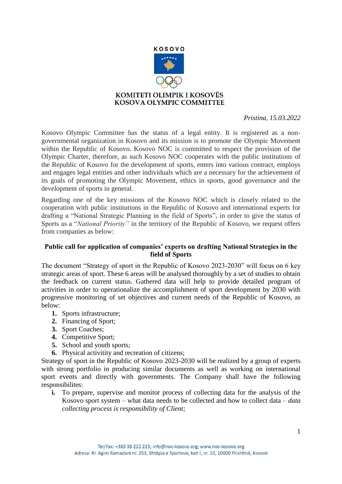

 *Pristina, 15.03.2022* 

Kosovo Olympic Committee has the status of a legal entity. It is registered as a nongovernmental organization in Kosovo and its mission is to promote the Olympic Movement within the Republic of Kosovo. Kosovo NOC is committed to respect the provision of the Olympic Charter, therefore, as such Kosovo NOC cooperates with the public institutions of the Republic of Kosovo for the development of sports, enters into various contract, employs and engages legal entities and other individuals which are a necessary for the achievement of its goals of promoting the Olympic Movement, ethics in sports, good governance and the development of sports in general.

Regarding one of the key missions of the Kosovo NOC which is closely related to the cooperation with public institutions in the Republic of Kosovo and international experts for drafting a "National Strategic Planning in the field of Sports", in order to give the status of Sports as a "*National Priority"* in the territory of the Republic of Kosovo, we request offers from companies as below:

## **Public call for application of companies' experts on drafting National Strategies in the field of Sports**

The document "Strategy of sport in the Republic of Kosovo 2023-2030" will focus on 6 key strategic areas of sport. These 6 areas will be analysed thoroughly by a set of studies to obtain the feedback on current status. Gathered data will help to provide detailed program of activities in order to operationalize the accomplishment of sport development by 2030 with progressive monitoring of set objectives and current needs of the Republic of Kosovo, as below:

- **1.** Sports infrastructure;
- **2.** Financing of Sport;
- **3.** Sport Coaches;
- 4. Competitive Sport;
- **5.** School and youth sports;
- **6.** Physical activitity and recreation of citizens;

Strategy of sport in the Republic of Kosovo 2023-2030 will be realized by a group of experts with strong portfolio in producing similar documents as well as working on international sport events and directly with governments. The Company shall have the following responsibilites:

**i.** To prepare, supervise and monitor process of collecting data for the analysis of the Kosovo sport system – what data needs to be collected and how to collect data – *data collecting process is responsibility of Client;*